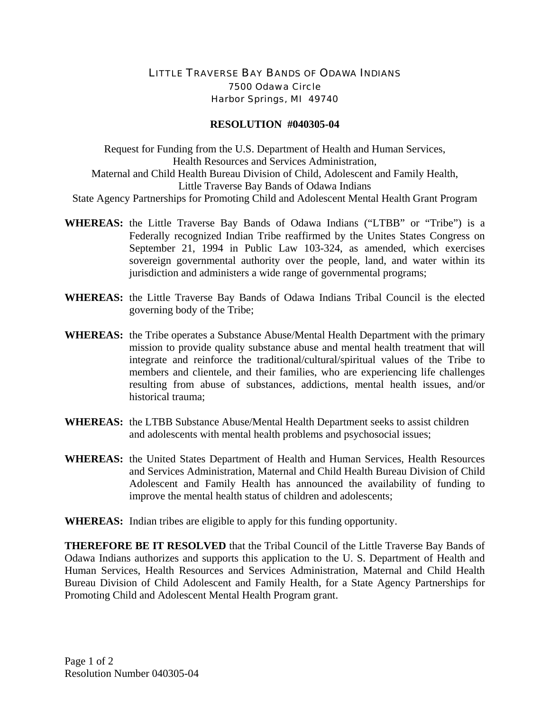## LITTLE TRAVERSE BAY BANDS OF ODAWA INDIANS 7500 Odawa Circle Harbor Springs, MI 49740

## **RESOLUTION #040305-04**

Request for Funding from the U.S. Department of Health and Human Services, Health Resources and Services Administration, Maternal and Child Health Bureau Division of Child, Adolescent and Family Health, Little Traverse Bay Bands of Odawa Indians State Agency Partnerships for Promoting Child and Adolescent Mental Health Grant Program

- **WHEREAS:** the Little Traverse Bay Bands of Odawa Indians ("LTBB" or "Tribe") is a Federally recognized Indian Tribe reaffirmed by the Unites States Congress on September 21, 1994 in Public Law 103-324, as amended, which exercises sovereign governmental authority over the people, land, and water within its jurisdiction and administers a wide range of governmental programs;
- **WHEREAS:** the Little Traverse Bay Bands of Odawa Indians Tribal Council is the elected governing body of the Tribe;
- **WHEREAS:** the Tribe operates a Substance Abuse/Mental Health Department with the primary mission to provide quality substance abuse and mental health treatment that will integrate and reinforce the traditional/cultural/spiritual values of the Tribe to members and clientele, and their families, who are experiencing life challenges resulting from abuse of substances, addictions, mental health issues, and/or historical trauma;
- **WHEREAS:** the LTBB Substance Abuse/Mental Health Department seeks to assist children and adolescents with mental health problems and psychosocial issues;
- **WHEREAS:** the United States Department of Health and Human Services, Health Resources and Services Administration, Maternal and Child Health Bureau Division of Child Adolescent and Family Health has announced the availability of funding to improve the mental health status of children and adolescents;
- **WHEREAS:** Indian tribes are eligible to apply for this funding opportunity.

**THEREFORE BE IT RESOLVED** that the Tribal Council of the Little Traverse Bay Bands of Odawa Indians authorizes and supports this application to the U. S. Department of Health and Human Services, Health Resources and Services Administration, Maternal and Child Health Bureau Division of Child Adolescent and Family Health, for a State Agency Partnerships for Promoting Child and Adolescent Mental Health Program grant.